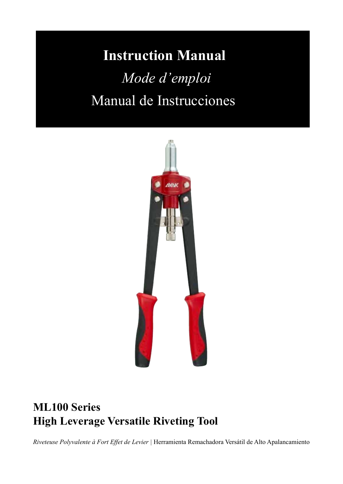# **Instruction Manual** *Mode d'emploi*

# Manual de Instrucciones



# **ML100 Series High Leverage Versatile Riveting Tool**

*Riveteuse Polyvalente à Fort Effet de Levier |* Herramienta Remachadora Versátil de Alto Apalancamiento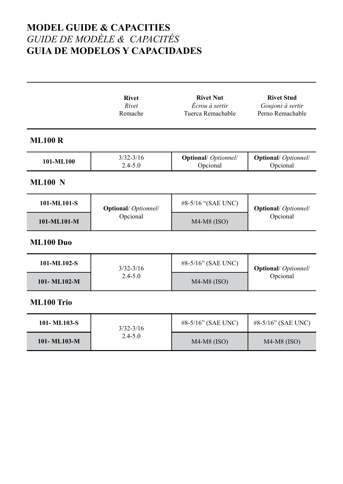# **MODEL GUIDE & CAPACITIES** *GUIDE DE MODÈLE & CAPACITÉS* **GUIA DE MODELOS Y CAPACIDADES**

|                | <b>Rivet</b><br>Rivet<br>Remache   | <b>Rivet Nut</b><br>Écrou à sertir<br>Tuerca Remachable | <b>Rivet Stud</b><br>Goujons à sertir<br>Perno Remachable |  |
|----------------|------------------------------------|---------------------------------------------------------|-----------------------------------------------------------|--|
| <b>ML100 R</b> |                                    |                                                         |                                                           |  |
| 101-ML100      | $3/32 - 3/16$<br>$2.4 - 5.0$       | <b>Optional/</b> Optionnel/<br>Opcional                 | <b>Optional/</b> Optionnel/<br>Opcional                   |  |
| <b>ML100 N</b> |                                    |                                                         |                                                           |  |
| 101-ML101-S    | <b>Optional</b> / <i>Optionnel</i> | #8-5/16 "(SAE UNC)                                      | <b>Optional/</b> Optionnel/                               |  |
| 101-ML101-M    | Opcional                           | $M4-M8$ (ISO)                                           | Opcional                                                  |  |
| ML100 Duo      |                                    |                                                         |                                                           |  |
| 101-ML102-S    | $3/32 - 3/16$                      | #8-5/16" (SAE UNC)                                      | <b>Optional</b> Optionnel                                 |  |
| 101-ML102-M    | $2.4 - 5.0$                        | $M4-M8$ (ISO)                                           | Opcional                                                  |  |
| ML100 Trio     |                                    |                                                         |                                                           |  |
| 101-ML103-S    | $3/32 - 3/16$                      | #8-5/16" (SAE UNC)                                      | #8-5/16" (SAE UNC)                                        |  |
| 101-ML103-M    | $2.4 - 5.0$                        | $M4-M8$ (ISO)                                           | $M4-M8$ (ISO)                                             |  |
|                |                                    |                                                         |                                                           |  |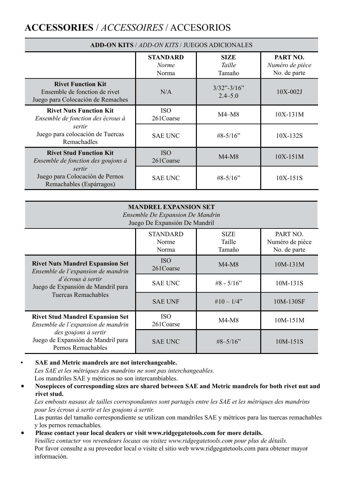# **ACCESSORIES** / *ACCESSOIRES* / ACCESORIOS

| <b>ADD-ON KITS / ADD-ON KITS / JUEGOS ADICIONALES</b>                                           |                                   |                                 |                                             |
|-------------------------------------------------------------------------------------------------|-----------------------------------|---------------------------------|---------------------------------------------|
|                                                                                                 | <b>STANDARD</b><br>Norme<br>Norma | <b>SIZE</b><br>Taille<br>Tamaño | PART NO.<br>Numéro de pièce<br>No. de parte |
| <b>Rivet Function Kit</b><br>Ensemble de fonction de rivet<br>Juego para Colocación de Remaches | N/A                               | $3/32$ "-3/16"<br>$2.4 - 5.0$   | $10X-002J$                                  |
| <b>Rivet Nuts Function Kit</b><br>Ensemble de fonction des écrous à                             | <b>ISO</b><br>261Coarse           | M4–M8                           | $10X-131M$                                  |
| sertir<br>Juego para colocación de Tuercas<br>Remachadles                                       | <b>SAE UNC</b>                    | $#8 - 5/16"$                    | 10X-132S                                    |
| <b>Rivet Stud Function Kit</b><br>Ensemble de fonction des goujons à                            | <b>ISO</b><br>261 Coarse          | $M4-M8$                         | $10X-151M$                                  |
| sertir<br>Juego para Colocación de Pernos<br>Remachables (Espárragos)                           | <b>SAE UNC</b>                    | $#8 - 5/16"$                    | $10X-151S$                                  |

| <b>MANDREL EXPANSION SET</b><br>Ensemble De Expansion De Mandrin<br>Juego De Expansión De Mandril |                                   |                                 |                                             |  |
|---------------------------------------------------------------------------------------------------|-----------------------------------|---------------------------------|---------------------------------------------|--|
|                                                                                                   | <b>STANDARD</b><br>Norme<br>Norma | <b>SIZE</b><br>Taille<br>Tamaño | PART NO.<br>Numéro de pièce<br>No. de parte |  |
| <b>Rivet Nuts Mandrel Expansion Set</b><br>Ensemble de l'expansion de mandrin                     | <b>ISO</b><br>261 Coarse          | $M4-M8$                         | $10M-131M$                                  |  |
| d'écrous à sertir<br>Juego de Expansión de Mandril para                                           | <b>SAE UNC</b>                    | $#8 - 5/16"$                    | 10M-131S                                    |  |
| Tuercas Remachables                                                                               | <b>SAE UNF</b>                    | $\#10 - 1/4$ "                  | 10M-130SF                                   |  |
| <b>Rivet Stud Mandrel Expansion Set</b><br>Ensemble de l'expansion de mandrin                     | <b>ISO</b><br>261Coarse           | $M4-M8$                         | $10M-151M$                                  |  |
| des goujons à sertir<br>Juego de Expansión de Mandril para<br>Pernos Remachables                  | <b>SAE UNC</b>                    | $\#8 - 5/16"$                   | $10M-151S$                                  |  |

**• SAE and Metric mandrels are not interchangeable.**  *Les SAE et les métriques des mandrins ne sont pas interchangeables.* Los mandriles SAE y métricos no son intercambiables.

• **Nosepieces of corresponding sizes are shared between SAE and Metric mandrels for both rivet nut and rivet stud.** 

*Les embouts nasaux de tailles correspondantes sont partagés entre les SAE et les métriques des mandrins pour les écrous à sertir et les goujons à sertir.*

Las puntas del tamaño correspondiente se utilizan con mandriles SAE y métricos para las tuercas remachables y los pernos remachables.

• **Please contact your local dealers or visit www.ridgegatetools.com for more details.**  *Veuillez contacter vos revendeurs locaux ou visitez www.ridgegatetools.com pour plus de détails.* Por favor consulte a su proveedor local o visite el sitio web www.ridgegatetools.com para obtener mayor información.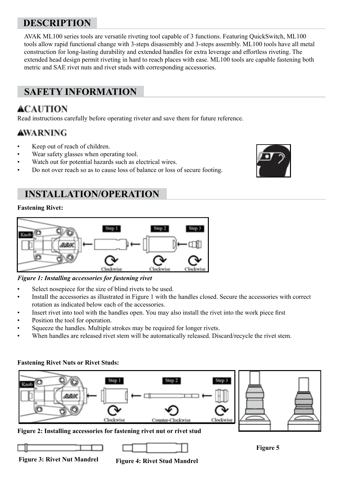# **DESCRIPTION**

AVAK ML100 series tools are versatile riveting tool capable of 3 functions. Featuring QuickSwitch, ML100 tools allow rapid functional change with 3-steps disassembly and 3-steps assembly. ML100 tools have all metal construction for long-lasting durability and extended handles for extra leverage and effortless riveting. The extended head design permit riveting in hard to reach places with ease. ML100 tools are capable fastening both metric and SAE rivet nuts and rivet studs with corresponding accessories.

# **SAFETY INFORMATION**

# **ACAUTION**

Read instructions carefully before operating riveter and save them for future reference.

### AWARNING

- Keep out of reach of children.
- Wear safety glasses when operating tool.
- Watch out for potential hazards such as electrical wires.
- Do not over reach so as to cause loss of balance or loss of secure footing.

# **INSTALLATION/OPERATION**

#### **Fastening Rivet:**



*Figure 1: Installing accessories for fastening rivet*

- Select nosepiece for the size of blind rivets to be used.
- Install the accessories as illustrated in Figure 1 with the handles closed. Secure the accessories with correct rotation as indicated below each of the accessories.
- Insert rivet into tool with the handles open. You may also install the rivet into the work piece first
- Position the tool for operation.
- Squeeze the handles. Multiple strokes may be required for longer rivets.
- When handles are released rivet stem will be automatically released. Discard/recycle the rivet stem.

#### **Fastening Rivet Nuts or Rivet Studs:**









**Figure 3: Rivet Nut Mandrel Figure 4: Rivet Stud Mandrel**

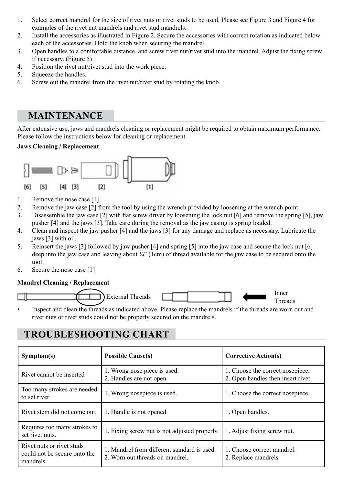- 1. Select correct mandrel for the size of rivet nuts or rivet studs to be used. Please see Figure 3 and Figure 4 for examples of the rivet nut mandrels and rivet stud mandrels.
- 2. Install the accessories as illustrated in Figure 2. Secure the accessories with correct rotation as indicated below each of the accessories. Hold the knob when securing the mandrel.
- 3. Open handles to a comfortable distance, and screw rivet nut/rivet stud into the mandrel. Adjust the fixing screw if necessary. (Figure 5)
- 4. Position the rivet nut/rivet stud into the work piece.
- 5. Squeeze the handles.
- 6. Screw out the mandrel from the rivet nut/rivet stud by rotating the knob.

### **MAINTENANCE**

After extensive use, jaws and mandrels cleaning or replacement might be required to obtain maximum performance. Please follow the instructions below for cleaning or replacement.

#### **Jaws Cleaning / Replacement**



- 1. Remove the nose case [1].
- 2. Remove the jaw case [2] from the tool by using the wrench provided by loosening at the wrench point.
- 3. Disassemble the jaw case [2] with flat screw driver by loosening the lock nut [6] and remove the spring [5], jaw pusher [4] and the jaws [3]. Take care during the removal as the jaw casing is spring loaded.
- 4. Clean and inspect the jaw pusher [4] and the jaws [3] for any damage and replace as necessary. Lubricate the jaws [3] with oil.
- 5. Reinsert the jaws [3] followed by jaw pusher [4] and spring [5] into the jaw case and secure the lock nut [6] deep into the jaw case and leaving about ¾" (1cm) of thread available for the jaw case to be secured onto the tool.
- 6. Secure the nose case [1]

#### **Mandrel Cleaning / Replacement**





Threads

• Inspect and clean the threads as indicated above. Please replace the mandrels if the threads are worn out and rivet nuts or rivet studs could not be properly secured on the mandrels.

# **TROUBLESHOOTING CHART**

| Symptom(s)                                                                                                                                              | <b>Possible Cause(s)</b>                                | <b>Corrective Action(s)</b>                                            |  |
|---------------------------------------------------------------------------------------------------------------------------------------------------------|---------------------------------------------------------|------------------------------------------------------------------------|--|
| Rivet cannot be inserted                                                                                                                                | 1. Wrong nose piece is used.<br>2. Handles are not open | 1. Choose the correct nosepiece.<br>2. Open handles then insert rivet. |  |
| Too many strokes are needed<br>to set rivet                                                                                                             | 1. Wrong nosepiece is used.                             | 1. Choose the correct nosepiece.                                       |  |
| Rivet stem did not come out.                                                                                                                            | 1. Handle is not opened.                                | 1. Open handles.                                                       |  |
| Requires too many strokes to<br>set rivet nuts.                                                                                                         | 1. Fixing screw nut is not adjusted properly.           | 1. Adjust fixing screw nut.                                            |  |
| Rivet nuts or rivet studs<br>1. Mandrel from different standard is used.<br>could not be secure onto the<br>2. Worn out threads on mandrel.<br>mandrels |                                                         | 1. Choose correct mandrel.<br>2. Replace mandrels                      |  |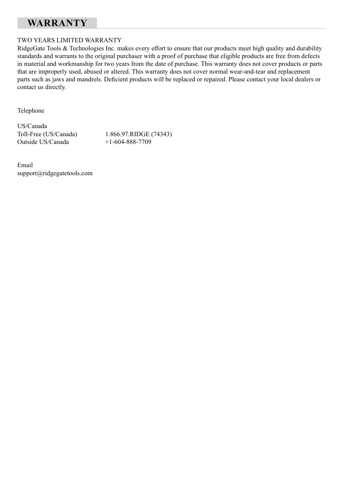## **WARRANTY**

#### TWO YEARS LIMITED WARRANTY

RidgeGate Tools & Technologies Inc. makes every effort to ensure that our products meet high quality and durability standards and warrants to the original purchaser with a proof of purchase that eligible products are free from defects in material and workmanship for two years from the date of purchase. This warranty does not cover products or parts that are improperly used, abused or altered. This warranty does not cover normal wear-and-tear and replacement parts such as jaws and mandrels. Deficient products will be replaced or repaired. Please contact your local dealers or contact us directly.

Telephone

US/Canada Outside US/Canada

Toll-Free (US/Canada) 1.866.97.RIDGE (74343)<br>Outside US/Canada +1-604-888-7709

Email support@ridgegatetools.com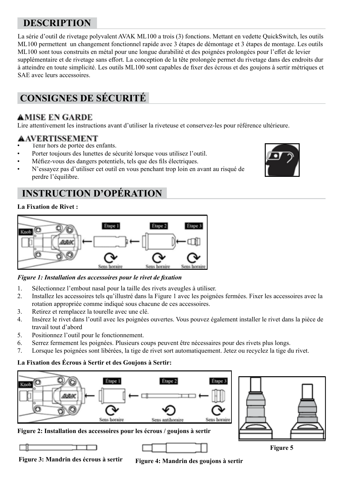# **DESCRIPTION**

La série d'outil de rivetage polyvalent AVAK ML100 a trois (3) fonctions. Mettant en vedette QuickSwitch, les outils ML100 permettent un changement fonctionnel rapide avec 3 étapes de démontage et 3 étapes de montage. Les outils ML100 sont tous construits en métal pour une longue durabilité et des poignées prolongées pour l'effet de levier supplémentaire et de rivetage sans effort. La conception de la tête prolongée permet du rivetage dans des endroits dur à atteindre en toute simplicité. Les outils ML100 sont capables de fixer des écrous et des goujons à sertir métriques et SAE avec leurs accessoires.

# **CONSIGNES DE SÉCURITÉ**

### **AMISE EN GARDE**

Lire attentivement les instructions avant d'utiliser la riveteuse et conservez-les pour référence ultérieure.

### **AAVERTISSEMENT**

- Tenir hors de portée des enfants.
- Porter toujours des lunettes de sécurité lorsque vous utilisez l'outil.
- Méfiez-vous des dangers potentiels, tels que des fils électriques.
- N'essayez pas d'utiliser cet outil en vous penchant trop loin en avant au risqué de perdre l'équilibre.

# **INSTRUCTION D'OPÉRATION**

#### **La Fixation de Rivet :**



#### *Figure 1: Installation des accessoires pour le rivet de fixation*

- 1. Sélectionnez l'embout nasal pour la taille des rivets aveugles à utiliser.
- 2. Installez les accessoires tels qu'illustré dans la Figure 1 avec les poignées fermées. Fixer les accessoires avec la rotation appropriée comme indiqué sous chacune de ces accessoires.
- 3. Retirez et remplacez la tourelle avec une clé.
- 4. Insérez le rivet dans l'outil avec les poignées ouvertes. Vous pouvez également installer le rivet dans la pièce de travail tout d'abord
- 5. Positionnez l'outil pour le fonctionnement.
- 6. Serrez fermement les poignées. Plusieurs coups peuvent être nécessaires pour des rivets plus longs.
- 7. Lorsque les poignées sont libérées, la tige de rivet sort automatiquement. Jetez ou recyclez la tige du rivet.

#### **La Fixation des Écrous à Sertir et des Goujons à Sertir:**





**Figure 3: Mandrin des écrous à sertir Figure 4: Mandrin des goujons à sertir**

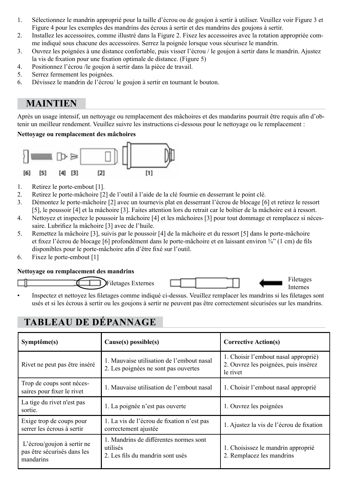- 1. Sélectionnez le mandrin approprié pour la taille d'écrou ou de goujon à sertir à utiliser. Veuillez voir Figure 3 et Figure 4 pour les exemples des mandrins des écrous à sertir et des mandrins des goujons à sertir.
- 2. Installez les accessoires, comme illustré dans la Figure 2. Fixez les accessoires avec la rotation appropriée comme indiqué sous chacune des accessoires. Serrez la poignée lorsque vous sécurisez le mandrin.
- 3. Ouvrez les poignées à une distance confortable, puis visser l'écrou / le goujon à sertir dans le mandrin. Ajustez la vis de fixation pour une fixation optimale de distance. (Figure 5)
- 4. Positionnez l'écrou /le goujon à sertir dans la pièce de travail.
- 5. Serrez fermement les poignées.
- 6. Dévissez le mandrin de l'écrou/ le goujon à sertir en tournant le bouton.

### **MAINTIEN**

Après un usage intensif, un nettoyage ou remplacement des mâchoires et des mandarins pourrait être requis afin d'obtenir un meilleur rendement. Veuillez suivre les instructions ci-dessous pour le nettoyage ou le remplacement :

#### **Nettoyage ou remplacement des mâchoires**



- 1. Retirez le porte-embout [1].
- 2. Retirez le porte-mâchoire [2] de l'outil à l'aide de la clé fournie en desserrant le point clé.<br>3. Démontez le porte-mâchoire [2] avec un tournevis plat en desserrant l'écrou de blocage [6]
- 3. Démontez le porte-mâchoire [2] avec un tournevis plat en desserrant l'écrou de blocage [6] et retirez le ressort [5], le poussoir [4] et la mâchoire [3]. Faites attention lors du retrait car le boîtier de la mâchoire est à ressort.
- 4. Nettoyez et inspectez le poussoir la mâchoire [4] et les mâchoires [3] pour tout dommage et remplacez si nécessaire. Lubrifiez la mâchoire [3] avec de l'huile.
- 5. Remettez la mâchoire [3], suivis par le poussoir [4] de la mâchoire et du ressort [5] dans le porte-mâchoire et fixez l'écrou de blocage [6] profondément dans le porte-mâchoire et en laissant environ ¾" (1 cm) de fils disponibles pour le porte-mâchoire afin d'être fixé sur l'outil.
- 6. Fixez le porte-embout [1]

#### **Nettoyage ou remplacement des mandrins**



Internes

• Inspectez et nettoyez les filetages comme indiqué ci-dessus. Veuillez remplacer les mandrins si les filetages sont usés et si les écrous à sertir ou les goujons à sertir ne peuvent pas être correctement sécurisées sur les mandrins.

# **TABLEAU DE DÉPANNAGE**

| Symptôme(s)                                                                                                                                                      | Cause(s) possible(s)                                                              | <b>Corrective Action(s)</b>                                                              |  |
|------------------------------------------------------------------------------------------------------------------------------------------------------------------|-----------------------------------------------------------------------------------|------------------------------------------------------------------------------------------|--|
| Rivet ne peut pas être inséré                                                                                                                                    | 1. Mauvaise utilisation de l'embout nasal<br>2. Les poignées ne sont pas ouvertes | 1. Choisir l'embout nasal approprié)<br>2. Ouvrez les poignées, puis insérez<br>le rivet |  |
| Trop de coups sont néces-<br>saires pour fixer le rivet                                                                                                          | 1. Mauvaise utilisation de l'embout nasal                                         | 1. Choisir l'embout nasal approprié                                                      |  |
| La tige du rivet n'est pas<br>sortie.                                                                                                                            | 1. La poignée n'est pas ouverte                                                   | 1. Ouvrez les poignées                                                                   |  |
| Exige trop de coups pour<br>serrer les écrous à sertir                                                                                                           | 1. La vis de l'écrou de fixation n'est pas<br>correctement ajustée                | 1. Ajustez la vis de l'écrou de fixation                                                 |  |
| 1. Mandrins de différentes normes sont<br>L'écrou/goujon à sertir ne<br>utilisés<br>pas être sécurisés dans les<br>2. Les fils du mandrin sont usés<br>mandarins |                                                                                   | 1. Choisissez le mandrin approprié<br>2. Remplacez les mandrins                          |  |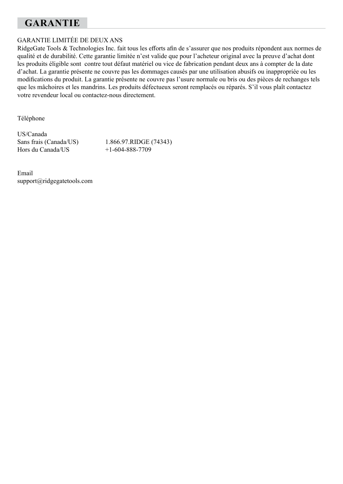# **GARANTIE**

#### GARANTIE LIMITÉE DE DEUX ANS

RidgeGate Tools & Technologies Inc. fait tous les efforts afin de s'assurer que nos produits répondent aux normes de qualité et de durabilité. Cette garantie limitée n'est valide que pour l'acheteur original avec la preuve d'achat dont les produits éligible sont contre tout défaut matériel ou vice de fabrication pendant deux ans à compter de la date d'achat. La garantie présente ne couvre pas les dommages causés par une utilisation abusifs ou inappropriée ou les modifications du produit. La garantie présente ne couvre pas l'usure normale ou bris ou des pièces de rechanges tels que les mâchoires et les mandrins. Les produits défectueux seront remplacés ou réparés. S'il vous plaît contactez votre revendeur local ou contactez-nous directement.

Téléphone

US/Canada

Sans frais (Canada/US) 1.866.97.RIDGE (74343)<br>Hors du Canada/US +1-604-888-7709  $+1-604-888-7709$ 

Email support@ridgegatetools.com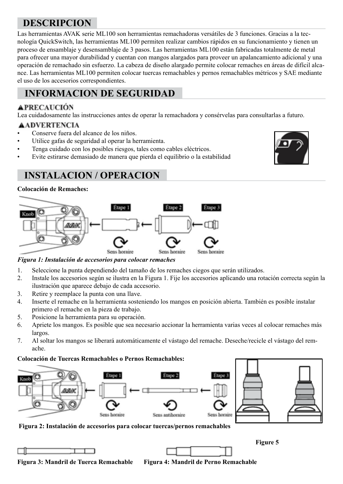# **DESCRIPCION**

Las herramientas AVAK serie ML100 son herramientas remachadoras versátiles de 3 funciones. Gracias a la tecnología QuickSwitch, las herramientas ML100 permiten realizar cambios rápidos en su funcionamiento y tienen un proceso de ensamblaje y desensamblaje de 3 pasos. Las herramientas ML100 están fabricadas totalmente de metal para ofrecer una mayor durabilidad y cuentan con mangos alargados para proveer un apalancamiento adicional y una operación de remachado sin esfuerzo. La cabeza de diseño alargado permite colocar remaches en áreas de difícil alcance. Las herramientas ML100 permiten colocar tuercas remachables y pernos remachables métricos y SAE mediante el uso de los accesorios correspondientes.

# **INFORMACION DE SEGURIDAD**

#### **APRECAUCIÓN**

Lea cuidadosamente las instrucciones antes de operar la remachadora y consérvelas para consultarlas a futuro.

#### **AADVERTENCIA**

- Conserve fuera del alcance de los niños.
- Utilice gafas de seguridad al operar la herramienta.
- Tenga cuidado con los posibles riesgos, tales como cables eléctricos.
- Evite estirarse demasiado de manera que pierda el equilibrio o la estabilidad



## **INSTALACION / OPERACION**

#### **Colocación de Remaches:**



*Figura 1: Instalación de accesorios para colocar remaches*

- 1. Seleccione la punta dependiendo del tamaño de los remaches ciegos que serán utilizados.
- 2. Instale los accesorios según se ilustra en la Figura 1. Fije los accesorios aplicando una rotación correcta según la ilustración que aparece debajo de cada accesorio.
- 3. Retire y reemplace la punta con una llave.
- 4. Inserte el remache en la herramienta sosteniendo los mangos en posición abierta. También es posible instalar primero el remache en la pieza de trabajo.
- 5. Posicione la herramienta para su operación.
- 6. Apriete los mangos. Es posible que sea necesario accionar la herramienta varias veces al colocar remaches más largos.
- 7. Al soltar los mangos se liberará automáticamente el vástago del remache. Deseche/recicle el vástago del remache.

#### **Colocación de Tuercas Remachables o Pernos Remachables:**



**Figura 2: Instalación de accesorios para colocar tuercas/pernos remachables** 



**Figura 3: Mandril de Tuerca Remachable Figura 4: Mandril de Perno Remachable**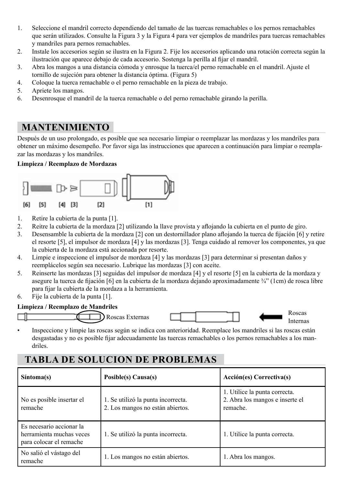- 1. Seleccione el mandril correcto dependiendo del tamaño de las tuercas remachables o los pernos remachables que serán utilizados. Consulte la Figura 3 y la Figura 4 para ver ejemplos de mandriles para tuercas remachables y mandriles para pernos remachables.
- 2. Instale los accesorios según se ilustra en la Figura 2. Fije los accesorios aplicando una rotación correcta según la ilustración que aparece debajo de cada accesorio. Sostenga la perilla al fijar el mandril.
- 3. Abra los mangos a una distancia cómoda y enrosque la tuerca/el perno remachable en el mandril. Ajuste el tornillo de sujeción para obtener la distancia óptima. (Figura 5)
- 4. Coloque la tuerca remachable o el perno remachable en la pieza de trabajo.
- 5. Apriete los mangos.
- 6. Desenrosque el mandril de la tuerca remachable o del perno remachable girando la perilla.

### **MANTENIMIENTO**

Después de un uso prolongado, es posible que sea necesario limpiar o reemplazar las mordazas y los mandriles para obtener un máximo desempeño. Por favor siga las instrucciones que aparecen a continuación para limpiar o reemplazar las mordazas y los mandriles.

#### **Limpieza / Reemplazo de Mordazas**



- 1. Retire la cubierta de la punta [1].
- 2. Reitre la cubierta de la mordaza [2] utilizando la llave provista y aflojando la cubierta en el punto de giro.
- 3. Desensamble la cubierta de la mordaza [2] con un destornillador plano aflojando la tuerca de fijación [6] y retire el resorte [5], el impulsor de mordaza [4] y las mordazas [3]. Tenga cuidado al remover los componentes, ya que la cubierta de la mordaza está accionada por resorte.
- 4. Limpie e inspeccione el impulsor de mordaza [4] y las mordazas [3] para determinar si presentan daños y reemplácelos según sea necesario. Lubrique las mordazas [3] con aceite.
- 5. Reinserte las mordazas [3] seguidas del impulsor de mordaza [4] y el resorte [5] en la cubierta de la mordaza y asegure la tuerca de fijación [6] en la cubierta de la mordaza dejando aproximadamente ¾" (1cm) de rosca libre para fijar la cubierta de la mordaza a la herramienta.
- 6. Fije la cubierta de la punta [1].

#### **Limpieza / Reemplazo de Mandriles**





Internas

• Inspeccione y limpie las roscas según se indica con anterioridad. Reemplace los mandriles si las roscas están desgastadas y no es posible fijar adecuadamente las tuercas remachables o los pernos remachables a los mandriles.

# **TABLA DE SOLUCION DE PROBLEMAS**

| Sintoma(s)                                                                      | Posible(s) Causa(s)                                                    | Acción(es) Correctiva(s)                                                     |  |
|---------------------------------------------------------------------------------|------------------------------------------------------------------------|------------------------------------------------------------------------------|--|
| No es posible insertar el<br>remache                                            | 1. Se utilizó la punta incorrecta.<br>2. Los mangos no están abiertos. | 1. Utilice la punta correcta.<br>2. Abra los mangos e inserte el<br>remache. |  |
| Es necesario accionar la<br>herramienta muchas veces<br>para colocar el remache | 1. Se utilizó la punta incorrecta.                                     | 1. Utilice la punta correcta.                                                |  |
| No salió el vástago del<br>remache                                              | 1. Los mangos no están abiertos.                                       | 1. Abra los mangos.                                                          |  |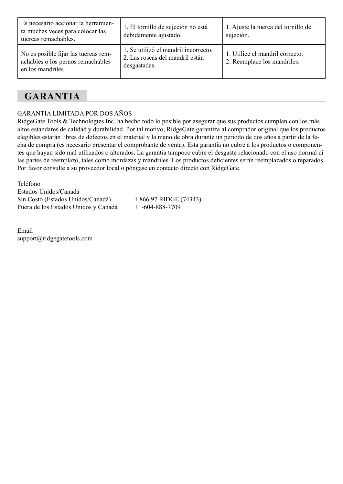| Es necesario accionar la herramien-<br>ta muchas veces para colocar las<br>tuercas remachables. | 1. El tornillo de sujeción no está<br>debidamente ajustado.                             | 1. Ajuste la tuerca del tornillo de<br>sujeción.               |
|-------------------------------------------------------------------------------------------------|-----------------------------------------------------------------------------------------|----------------------------------------------------------------|
| No es posible fijar las tuercas rem-<br>achables o los pernos remachables<br>en los mandriles   | 1. Se utilizó el mandril incorrecto.<br>2. Las roscas del mandril están<br>desgastadas. | 1. Utilice el mandril correcto.<br>2. Reemplace los mandriles. |

## **GARANTIA**

#### GARANTIA LIMITADA POR DOS AÑOS

RidgeGate Tools & Technologies Inc. ha hecho todo lo posible por asegurar que sus productos cumplan con los más altos estándares de calidad y durabilidad. Por tal motivo, RidgeGate garantiza al comprador original que los productos elegibles estarán libres de defectos en el material y la mano de obra durante un periodo de dos años a partir de la fecha de compra (es necesario presentar el comprobante de venta). Esta garantía no cubre a los productos o componentes que hayan sido mal utilizados o alterados. La garantía tampoco cubre el desgaste relacionado con el uso normal ni las partes de reemplazo, tales como mordazas y mandriles. Los productos deficientes serán reemplazados o reparados. Por favor consulte a su proveedor local o póngase en contacto directo con RidgeGate.

Teléfono Estados Unidos/Canadá Sin Costo (Estados Unidos/Canadá) 1.866.97.RIDGE (74343)<br>Fuera de los Estados Unidos y Canadá + 1-604-888-7709 Fuera de los Estados Unidos y Canadá

Email support@ridgegatetools.com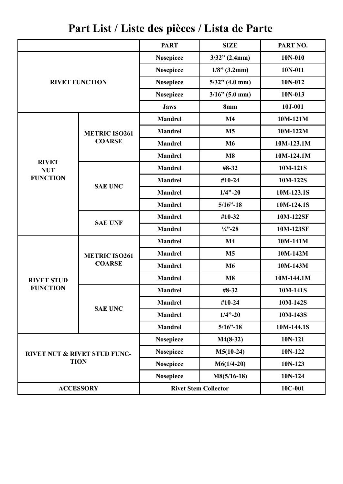|                                                        |                       | <b>PART</b>                 | <b>SIZE</b>       | PART NO.    |
|--------------------------------------------------------|-----------------------|-----------------------------|-------------------|-------------|
|                                                        |                       | Nosepiece                   | $3/32$ " (2.4mm)  | $10N-010$   |
|                                                        |                       | Nosepiece                   | $1/8$ " (3.2mm)   | 10N-011     |
|                                                        | <b>RIVET FUNCTION</b> |                             | $5/32$ " (4.0 mm) | 10N-012     |
|                                                        |                       | Nosepiece                   | $3/16$ " (5.0 mm) | $10N-013$   |
|                                                        |                       | <b>Jaws</b>                 | 8mm               | $10J - 001$ |
|                                                        |                       | <b>Mandrel</b>              | M <sub>4</sub>    | $10M-121M$  |
|                                                        | <b>METRIC ISO261</b>  | <b>Mandrel</b>              | M <sub>5</sub>    | 10M-122M    |
|                                                        | <b>COARSE</b>         | Mandrel                     | M6                | 10M-123.1M  |
|                                                        |                       | <b>Mandrel</b>              | M8                | 10M-124.1M  |
| <b>RIVET</b><br><b>NUT</b>                             |                       | <b>Mandrel</b>              | #8-32             | 10M-121S    |
| <b>FUNCTION</b>                                        |                       | Mandrel                     | #10-24            | 10M-122S    |
|                                                        | <b>SAE UNC</b>        | <b>Mandrel</b>              | $1/4$ "-20        | 10M-123.1S  |
|                                                        |                       | <b>Mandrel</b>              | $5/16$ "-18       | 10M-124.1S  |
|                                                        |                       | Mandrel                     | #10-32            | 10M-122SF   |
|                                                        | <b>SAE UNF</b>        | <b>Mandrel</b>              | $\frac{1}{4}$ –28 | 10M-123SF   |
|                                                        |                       | Mandrel                     | M <sub>4</sub>    | $10M-141M$  |
|                                                        | <b>METRIC ISO261</b>  | Mandrel                     | M <sub>5</sub>    | 10M-142M    |
|                                                        | <b>COARSE</b>         | <b>Mandrel</b>              | M6                | 10M-143M    |
| <b>RIVET STUD</b>                                      |                       | <b>Mandrel</b>              | M8                | 10M-144.1M  |
| <b>FUNCTION</b>                                        |                       | <b>Mandrel</b>              | #8-32             | 10M-141S    |
|                                                        | <b>SAE UNC</b>        | Mandrel                     | #10-24            | 10M-142S    |
|                                                        |                       | <b>Mandrel</b>              | $1/4$ "-20        | 10M-143S    |
|                                                        |                       | <b>Mandrel</b>              | $5/16$ "-18       | 10M-144.1S  |
| <b>RIVET NUT &amp; RIVET STUD FUNC-</b><br><b>TION</b> |                       | <b>Nosepiece</b>            | $M4(8-32)$        | $10N-121$   |
|                                                        |                       | <b>Nosepiece</b>            | $M5(10-24)$       | $10N-122$   |
|                                                        |                       | Nosepiece                   | $M6(1/4-20)$      | 10N-123     |
|                                                        |                       | Nosepiece                   | $M8(5/16-18)$     | 10N-124     |
| <b>ACCESSORY</b>                                       |                       | <b>Rivet Stem Collector</b> |                   | 10C-001     |

**Part List / Liste des pièces / Lista de Parte**